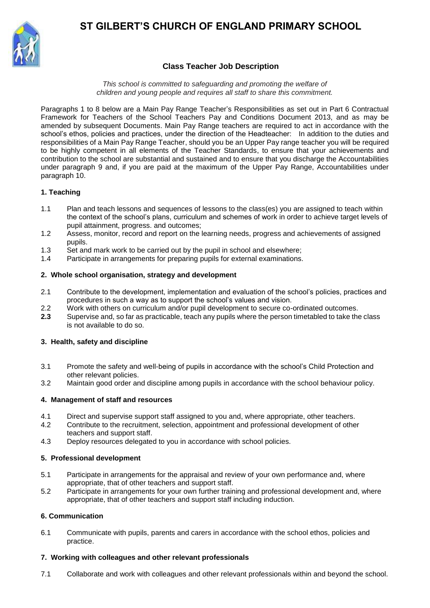# **ST GILBERT'S CHURCH OF ENGLAND PRIMARY SCHOOL**



## **Class Teacher Job Description**

*This school is committed to safeguarding and promoting the welfare of children and young people and requires all staff to share this commitment.*

Paragraphs 1 to 8 below are a Main Pay Range Teacher's Responsibilities as set out in Part 6 Contractual Framework for Teachers of the School Teachers Pay and Conditions Document 2013, and as may be amended by subsequent Documents. Main Pay Range teachers are required to act in accordance with the school's ethos, policies and practices, under the direction of the Headteacher: In addition to the duties and responsibilities of a Main Pay Range Teacher, should you be an Upper Pay range teacher you will be required to be highly competent in all elements of the Teacher Standards, to ensure that your achievements and contribution to the school are substantial and sustained and to ensure that you discharge the Accountabilities under paragraph 9 and, if you are paid at the maximum of the Upper Pay Range, Accountabilities under paragraph 10.

## **1. Teaching**

- 1.1 Plan and teach lessons and sequences of lessons to the class(es) you are assigned to teach within the context of the school's plans, curriculum and schemes of work in order to achieve target levels of pupil attainment, progress. and outcomes;
- 1.2 Assess, monitor, record and report on the learning needs, progress and achievements of assigned pupils.
- 1.3 Set and mark work to be carried out by the pupil in school and elsewhere;
- 1.4 Participate in arrangements for preparing pupils for external examinations.

## **2. Whole school organisation, strategy and development**

- 2.1 Contribute to the development, implementation and evaluation of the school's policies, practices and procedures in such a way as to support the school's values and vision.
- 2.2 Work with others on curriculum and/or pupil development to secure co-ordinated outcomes.
- **2.3** Supervise and, so far as practicable, teach any pupils where the person timetabled to take the class is not available to do so.

#### **3. Health, safety and discipline**

- 3.1 Promote the safety and well-being of pupils in accordance with the school's Child Protection and other relevant policies.
- 3.2 Maintain good order and discipline among pupils in accordance with the school behaviour policy.

#### **4. Management of staff and resources**

- 4.1 Direct and supervise support staff assigned to you and, where appropriate, other teachers.<br>4.2 Contribute to the recruitment, selection, appointment and professional development of other
- Contribute to the recruitment, selection, appointment and professional development of other teachers and support staff.
- 4.3 Deploy resources delegated to you in accordance with school policies.

#### **5. Professional development**

- 5.1 Participate in arrangements for the appraisal and review of your own performance and, where appropriate, that of other teachers and support staff.
- 5.2 Participate in arrangements for your own further training and professional development and, where appropriate, that of other teachers and support staff including induction.

#### **6. Communication**

6.1 Communicate with pupils, parents and carers in accordance with the school ethos, policies and practice.

#### **7. Working with colleagues and other relevant professionals**

7.1 Collaborate and work with colleagues and other relevant professionals within and beyond the school.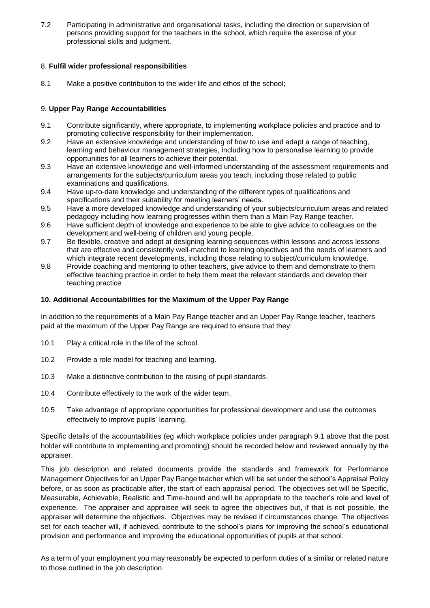7.2 Participating in administrative and organisational tasks, including the direction or supervision of persons providing support for the teachers in the school, which require the exercise of your professional skills and judgment.

## 8. **Fulfil wider professional responsibilities**

8.1 Make a positive contribution to the wider life and ethos of the school;

## 9. **Upper Pay Range Accountabilities**

- 9.1 Contribute significantly, where appropriate, to implementing workplace policies and practice and to promoting collective responsibility for their implementation.
- 9.2 Have an extensive knowledge and understanding of how to use and adapt a range of teaching, learning and behaviour management strategies, including how to personalise learning to provide opportunities for all learners to achieve their potential.
- 9.3 Have an extensive knowledge and well-informed understanding of the assessment requirements and arrangements for the subjects/curriculum areas you teach, including those related to public examinations and qualifications.
- 9.4 Have up-to-date knowledge and understanding of the different types of qualifications and specifications and their suitability for meeting learners' needs.
- 9.5 Have a more developed knowledge and understanding of your subjects/curriculum areas and related pedagogy including how learning progresses within them than a Main Pay Range teacher.
- 9.6 Have sufficient depth of knowledge and experience to be able to give advice to colleagues on the development and well-being of children and young people.
- 9.7 Be flexible, creative and adept at designing learning sequences within lessons and across lessons that are effective and consistently well-matched to learning objectives and the needs of learners and which integrate recent developments, including those relating to subject/curriculum knowledge.
- 9.8 Provide coaching and mentoring to other teachers, give advice to them and demonstrate to them effective teaching practice in order to help them meet the relevant standards and develop their teaching practice

## **10. Additional Accountabilities for the Maximum of the Upper Pay Range**

In addition to the requirements of a Main Pay Range teacher and an Upper Pay Range teacher, teachers paid at the maximum of the Upper Pay Range are required to ensure that they:

- 10.1 Play a critical role in the life of the school.
- 10.2 Provide a role model for teaching and learning.
- 10.3 Make a distinctive contribution to the raising of pupil standards.
- 10.4 Contribute effectively to the work of the wider team.
- 10.5 Take advantage of appropriate opportunities for professional development and use the outcomes effectively to improve pupils' learning.

Specific details of the accountabilities (eg which workplace policies under paragraph 9.1 above that the post holder will contribute to implementing and promoting) should be recorded below and reviewed annually by the appraiser.

This job description and related documents provide the standards and framework for Performance Management Objectives for an Upper Pay Range teacher which will be set under the school's Appraisal Policy before, or as soon as practicable after, the start of each appraisal period. The objectives set will be Specific, Measurable, Achievable, Realistic and Time-bound and will be appropriate to the teacher's role and level of experience. The appraiser and appraisee will seek to agree the objectives but, if that is not possible, the appraiser will determine the objectives. Objectives may be revised if circumstances change. The objectives set for each teacher will, if achieved, contribute to the school's plans for improving the school's educational provision and performance and improving the educational opportunities of pupils at that school.

As a term of your employment you may reasonably be expected to perform duties of a similar or related nature to those outlined in the job description.